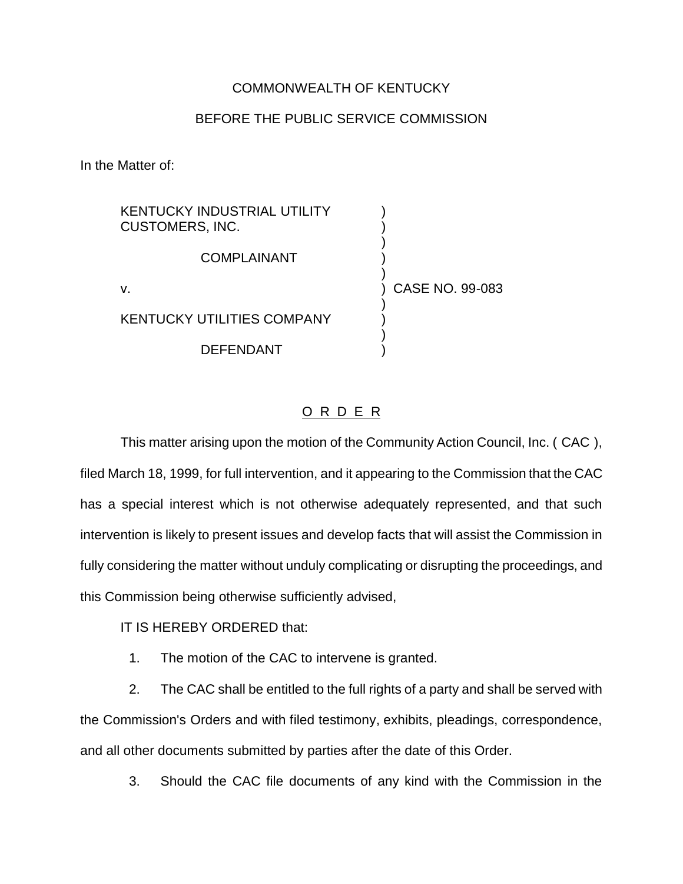## COMMONWEALTH OF KENTUCKY

## BEFORE THE PUBLIC SERVICE COMMISSION

In the Matter of:

KENTUCKY INDUSTRIAL UTILITY CUSTOMERS, INC. ) ) **COMPLAINANT** ) v. ) CASE NO. 99-083 ) KENTUCKY UTILITIES COMPANY ) )

**DEFENDANT** 

O R D E R

This matter arising upon the motion of the Community Action Council, Inc. ( CAC ), filed March 18, 1999, for full intervention, and it appearing to the Commission that the CAC has a special interest which is not otherwise adequately represented, and that such intervention is likely to present issues and develop facts that will assist the Commission in fully considering the matter without unduly complicating or disrupting the proceedings, and this Commission being otherwise sufficiently advised,

IT IS HEREBY ORDERED that:

1. The motion of the CAC to intervene is granted.

2. The CAC shall be entitled to the full rights of a party and shall be served with the Commission's Orders and with filed testimony, exhibits, pleadings, correspondence, and all other documents submitted by parties after the date of this Order.

3. Should the CAC file documents of any kind with the Commission in the